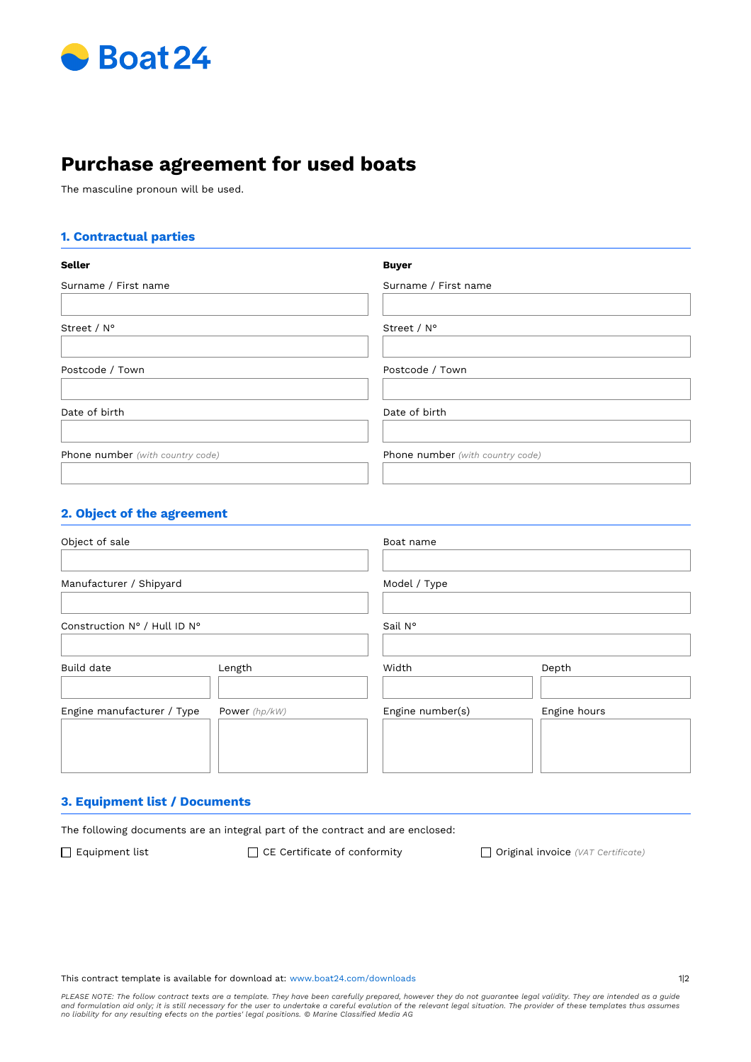

# **Purchase agreement for used boats**

The masculine pronoun will be used.

## **1. Contractual parties**

| <b>Seller</b>                    | <b>Buyer</b>                            |
|----------------------------------|-----------------------------------------|
| Surname / First name             | Surname / First name                    |
| Street / N°                      | Street / N°                             |
| Postcode / Town                  | Postcode / Town                         |
| Date of birth                    | Date of birth                           |
| Phone number (with country code) | <b>Phone number</b> (with country code) |

## **2. Object of the agreement**

| Object of sale               |               | Boat name        |              |
|------------------------------|---------------|------------------|--------------|
| Manufacturer / Shipyard      |               | Model / Type     |              |
| Construction N° / Hull ID N° |               | Sail N°          |              |
| <b>Build date</b>            | Length        | Width            | Depth        |
| Engine manufacturer / Type   | Power (hp/kW) | Engine number(s) | Engine hours |

## **3. Equipment list / Documents**

The following documents are an integral part of the contract and are enclosed:

Equipment list CE Certifcate of conformity Original invoice *(VAT Certifcate)*

#### This contract template is available for download at: www.boat24.com/downloads 112

PLEASE NOTE: The follow contract texts are a template. They have been carefully prepared, however they do not guarantee legal validity. They are intended as a guide<br>and formulation aid only; it is still necessary for the u *no liability for any resulting efects on the parties' legal positions. © Marine Classifed Media AG*